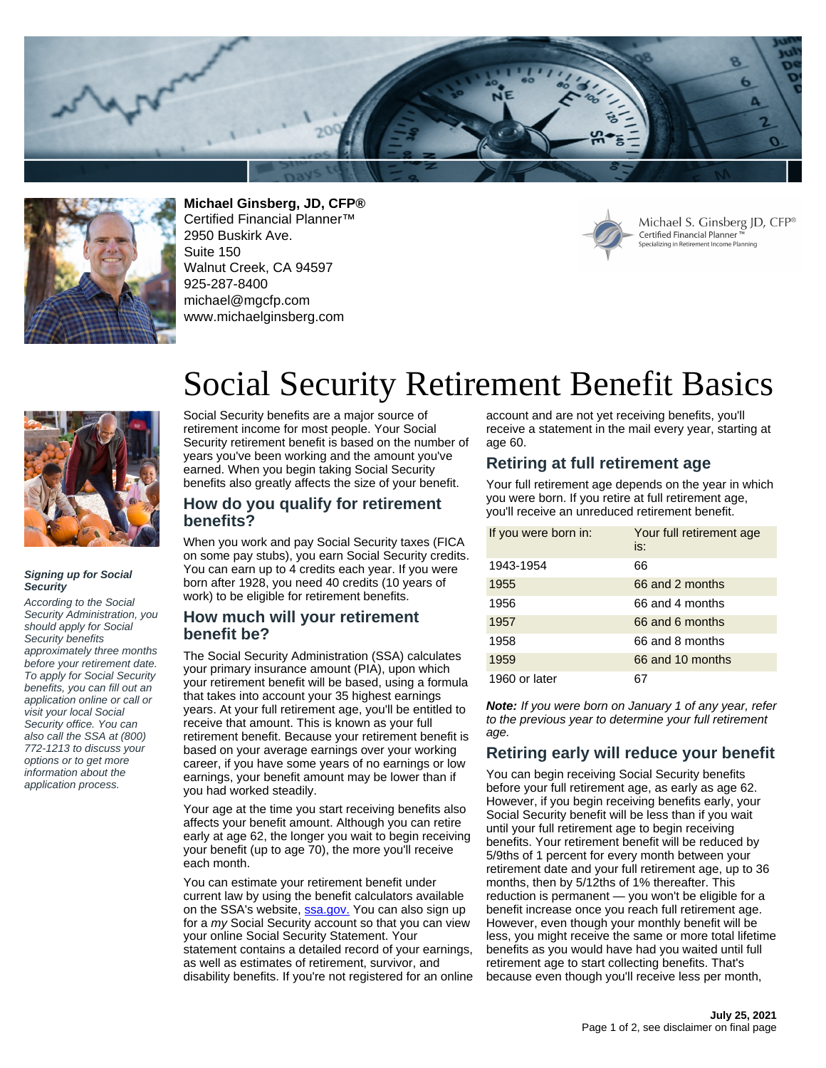



**Michael Ginsberg, JD, CFP®**

Certified Financial Planner™ 2950 Buskirk Ave. Suite 150 Walnut Creek, CA 94597 925-287-8400 michael@mgcfp.com www.michaelginsberg.com



Michael S. Ginsberg JD, CFP® Certified Financial Planner Specializing in Retirement Income Planning



#### **Signing up for Social Security**

According to the Social Security Administration, you should apply for Social Security benefits approximately three months before your retirement date. To apply for Social Security benefits, you can fill out an application online or call or visit your local Social Security office. You can also call the SSA at (800) 772-1213 to discuss your options or to get more information about the application process.

# Social Security Retirement Benefit Basics

Social Security benefits are a major source of retirement income for most people. Your Social Security retirement benefit is based on the number of years you've been working and the amount you've earned. When you begin taking Social Security benefits also greatly affects the size of your benefit.

#### **How do you qualify for retirement benefits?**

When you work and pay Social Security taxes (FICA on some pay stubs), you earn Social Security credits. You can earn up to 4 credits each year. If you were born after 1928, you need 40 credits (10 years of work) to be eligible for retirement benefits.

### **How much will your retirement benefit be?**

The Social Security Administration (SSA) calculates your primary insurance amount (PIA), upon which your retirement benefit will be based, using a formula that takes into account your 35 highest earnings years. At your full retirement age, you'll be entitled to receive that amount. This is known as your full retirement benefit. Because your retirement benefit is based on your average earnings over your working career, if you have some years of no earnings or low earnings, your benefit amount may be lower than if you had worked steadily.

Your age at the time you start receiving benefits also affects your benefit amount. Although you can retire early at age 62, the longer you wait to begin receiving your benefit (up to age 70), the more you'll receive each month.

You can estimate your retirement benefit under current law by using the benefit calculators available on the SSA's website, **[ssa.gov.](https://www.socialsecurity.gov)** You can also sign up for a my Social Security account so that you can view your online Social Security Statement. Your statement contains a detailed record of your earnings, as well as estimates of retirement, survivor, and disability benefits. If you're not registered for an online account and are not yet receiving benefits, you'll receive a statement in the mail every year, starting at age 60.

# **Retiring at full retirement age**

Your full retirement age depends on the year in which you were born. If you retire at full retirement age, you'll receive an unreduced retirement benefit.

| If you were born in: | Your full retirement age<br>is: |
|----------------------|---------------------------------|
| 1943-1954            | 66                              |
| 1955                 | 66 and 2 months                 |
| 1956                 | 66 and 4 months                 |
| 1957                 | 66 and 6 months                 |
| 1958                 | 66 and 8 months                 |
| 1959                 | 66 and 10 months                |
| 1960 or later        |                                 |

**Note:** If you were born on January 1 of any year, refer to the previous year to determine your full retirement age.

### **Retiring early will reduce your benefit**

You can begin receiving Social Security benefits before your full retirement age, as early as age 62. However, if you begin receiving benefits early, your Social Security benefit will be less than if you wait until your full retirement age to begin receiving benefits. Your retirement benefit will be reduced by 5/9ths of 1 percent for every month between your retirement date and your full retirement age, up to 36 months, then by 5/12ths of 1% thereafter. This reduction is permanent — you won't be eligible for a benefit increase once you reach full retirement age. However, even though your monthly benefit will be less, you might receive the same or more total lifetime benefits as you would have had you waited until full retirement age to start collecting benefits. That's because even though you'll receive less per month,